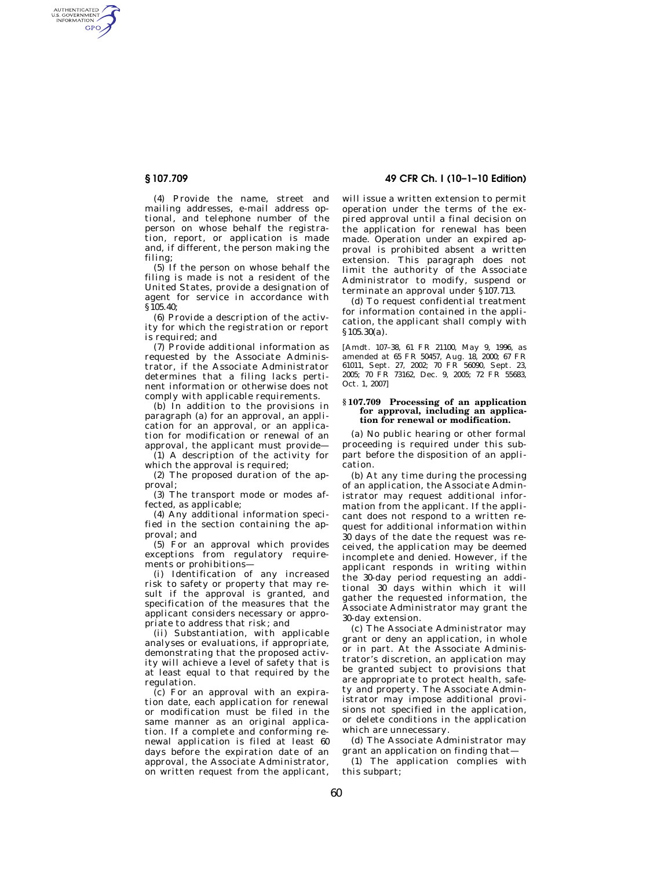AUTHENTICATED<br>U.S. GOVERNMENT<br>INFORMATION GPO

> (4) Provide the name, street and mailing addresses, e-mail address optional, and telephone number of the person on whose behalf the registration, report, or application is made and, if different, the person making the filing;

(5) If the person on whose behalf the filing is made is not a resident of the United States, provide a designation of agent for service in accordance with §105.40;

(6) Provide a description of the activity for which the registration or report is required; and

(7) Provide additional information as requested by the Associate Administrator, if the Associate Administrator determines that a filing lacks pertinent information or otherwise does not comply with applicable requirements.

(b) In addition to the provisions in paragraph (a) for an approval, an application for an approval, or an application for modification or renewal of an approval, the applicant must provide—

(1) A description of the activity for which the approval is required;

(2) The proposed duration of the approval;

(3) The transport mode or modes affected, as applicable;

(4) Any additional information specified in the section containing the approval; and

(5) For an approval which provides exceptions from regulatory requirements or prohibitions—

(i) Identification of any increased risk to safety or property that may result if the approval is granted, and specification of the measures that the applicant considers necessary or appropriate to address that risk; and

(ii) Substantiation, with applicable analyses or evaluations, if appropriate, demonstrating that the proposed activity will achieve a level of safety that is at least equal to that required by the regulation.

(c) For an approval with an expiration date, each application for renewal or modification must be filed in the same manner as an original application. If a complete and conforming renewal application is filed at least 60 days before the expiration date of an approval, the Associate Administrator, on written request from the applicant,

**§ 107.709 49 CFR Ch. I (10–1–10 Edition)** 

will issue a written extension to permit operation under the terms of the expired approval until a final decision on the application for renewal has been made. Operation under an expired approval is prohibited absent a written extension. This paragraph does not limit the authority of the Associate Administrator to modify, suspend or terminate an approval under §107.713.

(d) To request confidential treatment for information contained in the application, the applicant shall comply with §105.30(a).

[Amdt. 107–38, 61 FR 21100, May 9, 1996, as amended at 65 FR 50457, Aug. 18, 2000; 67 FR 61011, Sept. 27, 2002; 70 FR 56090, Sept. 23, 2005; 70 FR 73162, Dec. 9, 2005; 72 FR 55683, Oct. 1, 2007]

### **§ 107.709 Processing of an application for approval, including an application for renewal or modification.**

(a) No public hearing or other formal proceeding is required under this subpart before the disposition of an application.

(b) At any time during the processing of an application, the Associate Administrator may request additional information from the applicant. If the applicant does not respond to a written request for additional information within 30 days of the date the request was received, the application may be deemed incomplete and denied. However, if the applicant responds in writing within the 30-day period requesting an additional 30 days within which it will gather the requested information, the Associate Administrator may grant the 30-day extension.

(c) The Associate Administrator may grant or deny an application, in whole or in part. At the Associate Administrator's discretion, an application may be granted subject to provisions that are appropriate to protect health, safety and property. The Associate Administrator may impose additional provisions not specified in the application, or delete conditions in the application which are unnecessary.

(d) The Associate Administrator may grant an application on finding that—

(1) The application complies with this subpart;